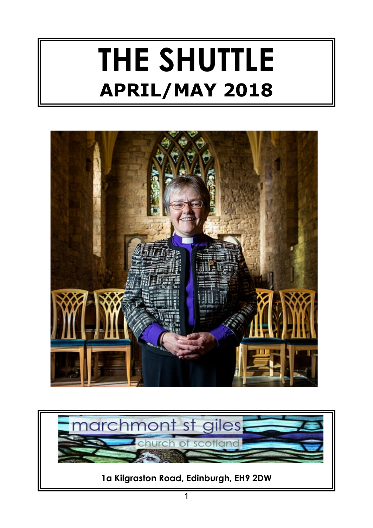# **THE SHUTTLE APRIL/MAY 2018**



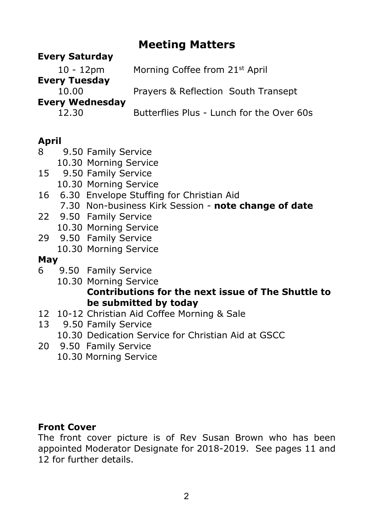## **Meeting Matters**

## **Every Saturday**

10 - 12pm Morning Coffee from 21st April **Every Tuesday** 10.00 Prayers & Reflection South Transept **Every Wednesday** 12.30 Butterflies Plus - Lunch for the Over 60s

## **April**

- 8 9.50 Family Service
	- 10.30 Morning Service
- 15 9.50 Family Service
	- 10.30 Morning Service
- 16 6.30 Envelope Stuffing for Christian Aid
	- 7.30 Non-business Kirk Session **note change of date**
- 22 9.50 Family Service
	- 10.30 Morning Service
- 29 9.50 Family Service
	- 10.30 Morning Service

## **May**

- 6 9.50 Family Service
	- 10.30 Morning Service **Contributions for the next issue of The Shuttle to be submitted by today**
- 12 10-12 Christian Aid Coffee Morning & Sale
- 13 9.50 Family Service
	- 10.30 Dedication Service for Christian Aid at GSCC
- 20 9.50 Family Service
	- 10.30 Morning Service

## **Front Cover**

The front cover picture is of Rev Susan Brown who has been appointed Moderator Designate for 2018-2019. See pages 11 and 12 for further details.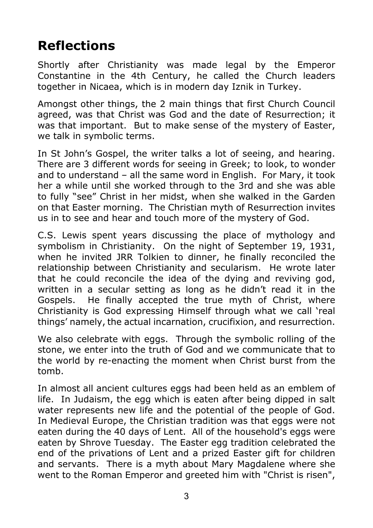# **Reflections**

Shortly after Christianity was made legal by the Emperor Constantine in the 4th Century, he called the Church leaders together in Nicaea, which is in modern day Iznik in Turkey.

Amongst other things, the 2 main things that first Church Council agreed, was that Christ was God and the date of Resurrection; it was that important. But to make sense of the mystery of Easter, we talk in symbolic terms.

In St John's Gospel, the writer talks a lot of seeing, and hearing. There are 3 different words for seeing in Greek; to look, to wonder and to understand – all the same word in English. For Mary, it took her a while until she worked through to the 3rd and she was able to fully "see" Christ in her midst, when she walked in the Garden on that Easter morning. The Christian myth of Resurrection invites us in to see and hear and touch more of the mystery of God.

C.S. Lewis spent years discussing the place of mythology and symbolism in Christianity. On the night of September 19, 1931, when he invited JRR Tolkien to dinner, he finally reconciled the relationship between Christianity and secularism. He wrote later that he could reconcile the idea of the dying and reviving god, written in a secular setting as long as he didn't read it in the Gospels. He finally accepted the true myth of Christ, where Christianity is God expressing Himself through what we call 'real things' namely, the actual incarnation, crucifixion, and resurrection.

We also celebrate with eggs. Through the symbolic rolling of the stone, we enter into the truth of God and we communicate that to the world by re-enacting the moment when Christ burst from the tomb.

In almost all ancient cultures eggs had been held as an emblem of life. In Judaism, the egg which is eaten after being dipped in salt water represents new life and the potential of the people of God. In Medieval Europe, the Christian tradition was that eggs were not eaten during the 40 days of Lent. All of the household's eggs were eaten by Shrove Tuesday. The Easter egg tradition celebrated the end of the privations of Lent and a prized Easter gift for children and servants. There is a myth about Mary Magdalene where she went to the Roman Emperor and greeted him with "Christ is risen",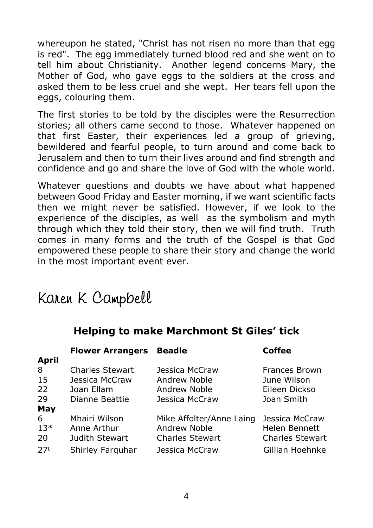whereupon he stated, "Christ has not risen no more than that egg is red". The egg immediately turned blood red and she went on to tell him about Christianity. Another legend concerns Mary, the Mother of God, who gave eggs to the soldiers at the cross and asked them to be less cruel and she wept. Her tears fell upon the eggs, colouring them.

The first stories to be told by the disciples were the Resurrection stories; all others came second to those. Whatever happened on that first Easter, their experiences led a group of grieving, bewildered and fearful people, to turn around and come back to Jerusalem and then to turn their lives around and find strength and confidence and go and share the love of God with the whole world.

Whatever questions and doubts we have about what happened between Good Friday and Easter morning, if we want scientific facts then we might never be satisfied. However, if we look to the experience of the disciples, as well as the symbolism and myth through which they told their story, then we will find truth. Truth comes in many forms and the truth of the Gospel is that God empowered these people to share their story and change the world in the most important event ever.

# Karen K Campbell

## **Helping to make Marchmont St Giles' tick**

|                 | <b>Flower Arrangers</b> | <b>Beadle</b>            | Coffee                 |
|-----------------|-------------------------|--------------------------|------------------------|
| <b>April</b>    |                         |                          |                        |
| 8               | <b>Charles Stewart</b>  | Jessica McCraw           | Frances Brown          |
| 15              | Jessica McCraw          | Andrew Noble             | June Wilson            |
| 22              | Joan Ellam              | Andrew Noble             | Eileen Dickso          |
| 29              | Dianne Beattie          | Jessica McCraw           | Joan Smith             |
| May             |                         |                          |                        |
| 6               | Mhairi Wilson           | Mike Affolter/Anne Laing | Jessica McCraw         |
| $13*$           | Anne Arthur             | Andrew Noble             | Helen Bennett          |
| 20              | Judith Stewart          | <b>Charles Stewart</b>   | <b>Charles Stewart</b> |
| 27 <sup>t</sup> | Shirley Farguhar        | Jessica McCraw           | Gillian Hoehnke        |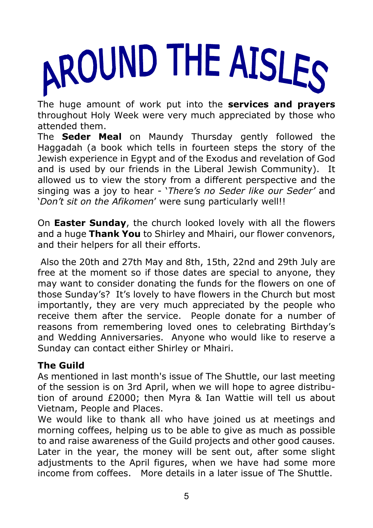

The huge amount of work put into the **services and prayers** throughout Holy Week were very much appreciated by those who attended them.

The **Seder Meal** on Maundy Thursday gently followed the Haggadah (a book which tells in fourteen steps the story of the Jewish experience in Egypt and of the Exodus and revelation of God and is used by our friends in the Liberal Jewish Community). It allowed us to view the story from a different perspective and the singing was a joy to hear - '*There's no Seder like our Seder'* and '*Don't sit on the Afikomen*' were sung particularly well!!

On **Easter Sunday**, the church looked lovely with all the flowers and a huge **Thank You** to Shirley and Mhairi, our flower convenors, and their helpers for all their efforts.

 Also the 20th and 27th May and 8th, 15th, 22nd and 29th July are free at the moment so if those dates are special to anyone, they may want to consider donating the funds for the flowers on one of those Sunday's? It's lovely to have flowers in the Church but most importantly, they are very much appreciated by the people who receive them after the service. People donate for a number of reasons from remembering loved ones to celebrating Birthday's and Wedding Anniversaries. Anyone who would like to reserve a Sunday can contact either Shirley or Mhairi.

## **The Guild**

As mentioned in last month's issue of The Shuttle, our last meeting of the session is on 3rd April, when we will hope to agree distribution of around £2000; then Myra & Ian Wattie will tell us about Vietnam, People and Places.

We would like to thank all who have joined us at meetings and morning coffees, helping us to be able to give as much as possible to and raise awareness of the Guild projects and other good causes. Later in the year, the money will be sent out, after some slight adjustments to the April figures, when we have had some more income from coffees. More details in a later issue of The Shuttle.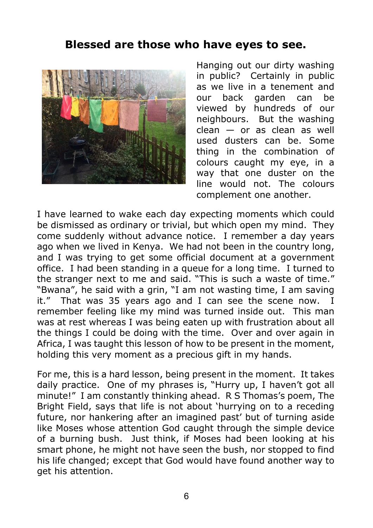## **Blessed are those who have eyes to see.**



Hanging out our dirty washing in public? Certainly in public as we live in a tenement and our back garden can be viewed by hundreds of our neighbours. But the washing  $clean - or as clean as well$  used dusters can be. Some thing in the combination of colours caught my eye, in a way that one duster on the line would not. The colours complement one another.

I have learned to wake each day expecting moments which could be dismissed as ordinary or trivial, but which open my mind. They come suddenly without advance notice. I remember a day years ago when we lived in Kenya. We had not been in the country long, and I was trying to get some official document at a government office. I had been standing in a queue for a long time. I turned to the stranger next to me and said. "This is such a waste of time." "Bwana", he said with a grin, "I am not wasting time, I am saving it." That was 35 years ago and I can see the scene now. I remember feeling like my mind was turned inside out. This man was at rest whereas I was being eaten up with frustration about all the things I could be doing with the time. Over and over again in Africa, I was taught this lesson of how to be present in the moment, holding this very moment as a precious gift in my hands.

For me, this is a hard lesson, being present in the moment. It takes daily practice. One of my phrases is, "Hurry up, I haven't got all minute!" I am constantly thinking ahead. R S Thomas's poem, The Bright Field, says that life is not about 'hurrying on to a receding future, nor hankering after an imagined past' but of turning aside like Moses whose attention God caught through the simple device of a burning bush. Just think, if Moses had been looking at his smart phone, he might not have seen the bush, nor stopped to find his life changed; except that God would have found another way to get his attention.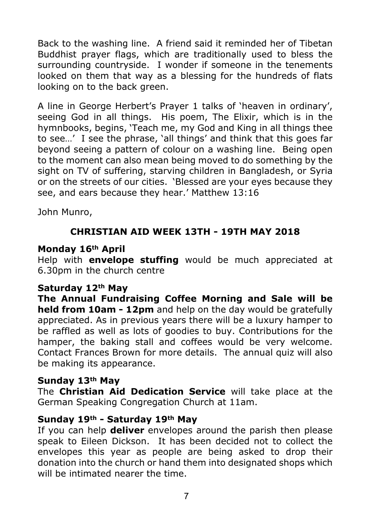Back to the washing line. A friend said it reminded her of Tibetan Buddhist prayer flags, which are traditionally used to bless the surrounding countryside. I wonder if someone in the tenements looked on them that way as a blessing for the hundreds of flats looking on to the back green.

A line in George Herbert's Prayer 1 talks of 'heaven in ordinary', seeing God in all things. His poem, The Elixir, which is in the hymnbooks, begins, 'Teach me, my God and King in all things thee to see…' I see the phrase, 'all things' and think that this goes far beyond seeing a pattern of colour on a washing line. Being open to the moment can also mean being moved to do something by the sight on TV of suffering, starving children in Bangladesh, or Syria or on the streets of our cities. 'Blessed are your eyes because they see, and ears because they hear.' Matthew 13:16

John Munro,

## **CHRISTIAN AID WEEK 13TH - 19TH MAY 2018**

#### **Monday 16th April**

Help with **envelope stuffing** would be much appreciated at 6.30pm in the church centre

#### **Saturday 12th May**

**The Annual Fundraising Coffee Morning and Sale will be held from 10am - 12pm** and help on the day would be gratefully appreciated. As in previous years there will be a luxury hamper to be raffled as well as lots of goodies to buy. Contributions for the hamper, the baking stall and coffees would be very welcome. Contact Frances Brown for more details. The annual quiz will also be making its appearance.

#### **Sunday 13th May**

The **Christian Aid Dedication Service** will take place at the German Speaking Congregation Church at 11am.

#### **Sunday 19th - Saturday 19th May**

If you can help **deliver** envelopes around the parish then please speak to Eileen Dickson. It has been decided not to collect the envelopes this year as people are being asked to drop their donation into the church or hand them into designated shops which will be intimated nearer the time.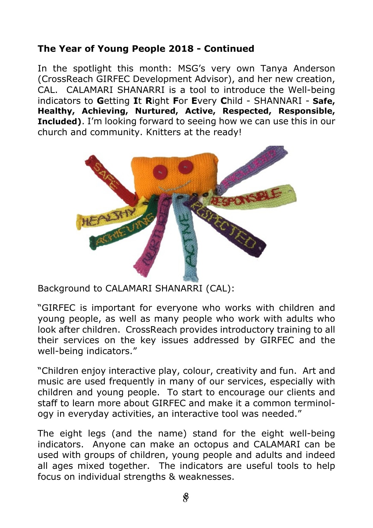## **The Year of Young People 2018 - Continued**

In the spotlight this month: MSG's very own Tanya Anderson (CrossReach GIRFEC Development Advisor), and her new creation, CAL. CALAMARI SHANARRI is a tool to introduce the Well-being indicators to **G**etting **I**t **R**ight **F**or **E**very **C**hild - SHANNARI - **Safe, Healthy, Achieving, Nurtured, Active, Respected, Responsible, Included)**. I'm looking forward to seeing how we can use this in our church and community. Knitters at the ready!



Background to CALAMARI SHANARRI (CAL):

"GIRFEC is important for everyone who works with children and young people, as well as many people who work with adults who look after children. CrossReach provides introductory training to all their services on the key issues addressed by GIRFEC and the well-being indicators."

"Children enjoy interactive play, colour, creativity and fun. Art and music are used frequently in many of our services, especially with children and young people. To start to encourage our clients and staff to learn more about GIRFEC and make it a common terminology in everyday activities, an interactive tool was needed."

The eight legs (and the name) stand for the eight well-being indicators. Anyone can make an octopus and CALAMARI can be used with groups of children, young people and adults and indeed all ages mixed together. The indicators are useful tools to help focus on individual strengths & weaknesses.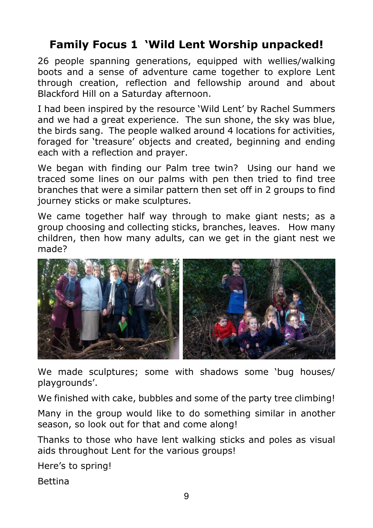## **Family Focus 1 'Wild Lent Worship unpacked!**

26 people spanning generations, equipped with wellies/walking boots and a sense of adventure came together to explore Lent through creation, reflection and fellowship around and about Blackford Hill on a Saturday afternoon.

I had been inspired by the resource 'Wild Lent' by Rachel Summers and we had a great experience. The sun shone, the sky was blue, the birds sang. The people walked around 4 locations for activities, foraged for 'treasure' objects and created, beginning and ending each with a reflection and prayer.

We began with finding our Palm tree twin? Using our hand we traced some lines on our palms with pen then tried to find tree branches that were a similar pattern then set off in 2 groups to find journey sticks or make sculptures.

We came together half way through to make giant nests; as a group choosing and collecting sticks, branches, leaves. How many children, then how many adults, can we get in the giant nest we made?



We made sculptures; some with shadows some 'bug houses/ playgrounds'.

We finished with cake, bubbles and some of the party tree climbing!

Many in the group would like to do something similar in another season, so look out for that and come along!

Thanks to those who have lent walking sticks and poles as visual aids throughout Lent for the various groups!

Here's to spring!

Bettina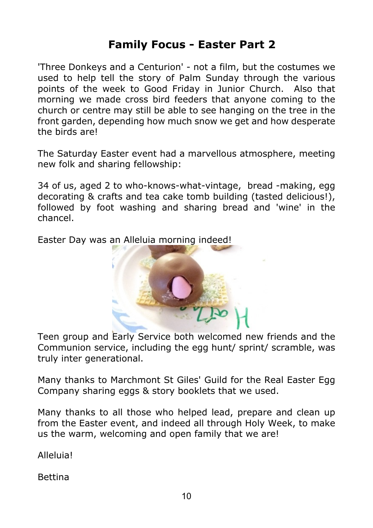## **Family Focus - Easter Part 2**

'Three Donkeys and a Centurion' - not a film, but the costumes we used to help tell the story of Palm Sunday through the various points of the week to Good Friday in Junior Church. Also that morning we made cross bird feeders that anyone coming to the church or centre may still be able to see hanging on the tree in the front garden, depending how much snow we get and how desperate the birds are!

The Saturday Easter event had a marvellous atmosphere, meeting new folk and sharing fellowship:

34 of us, aged 2 to who-knows-what-vintage, bread -making, egg decorating & crafts and tea cake tomb building (tasted delicious!), followed by foot washing and sharing bread and 'wine' in the chancel.

Easter Day was an Alleluia morning indeed!



Teen group and Early Service both welcomed new friends and the Communion service, including the egg hunt/ sprint/ scramble, was truly inter generational.

Many thanks to Marchmont St Giles' Guild for the Real Easter Egg Company sharing eggs & story booklets that we used.

Many thanks to all those who helped lead, prepare and clean up from the Easter event, and indeed all through Holy Week, to make us the warm, welcoming and open family that we are!

Alleluia!

Bettina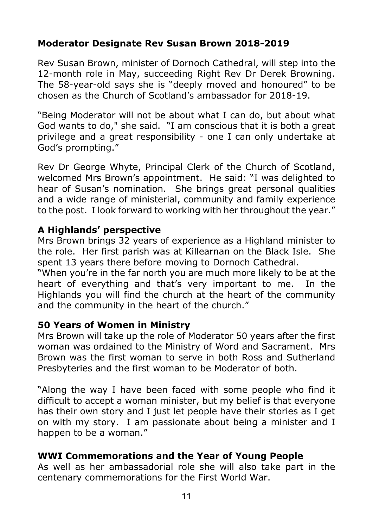## **Moderator Designate Rev Susan Brown 2018-2019**

Rev Susan Brown, minister of Dornoch Cathedral, will step into the 12-month role in May, succeeding Right Rev Dr Derek Browning. The 58-year-old says she is "deeply moved and honoured" to be chosen as the Church of Scotland's ambassador for 2018-19.

"Being Moderator will not be about what I can do, but about what God wants to do," she said. "I am conscious that it is both a great privilege and a great responsibility - one I can only undertake at God's prompting."

Rev Dr George Whyte, Principal Clerk of the Church of Scotland, welcomed Mrs Brown's appointment. He said: "I was delighted to hear of Susan's nomination. She brings great personal qualities and a wide range of ministerial, community and family experience to the post. I look forward to working with her throughout the year."

#### **A Highlands' perspective**

Mrs Brown brings 32 years of experience as a Highland minister to the role. Her first parish was at Killearnan on the Black Isle. She spent 13 years there before moving to Dornoch Cathedral.

"When you're in the far north you are much more likely to be at the heart of everything and that's very important to me. In the Highlands you will find the church at the heart of the community and the community in the heart of the church."

#### **50 Years of Women in Ministry**

Mrs Brown will take up the role of Moderator 50 years after the first woman was ordained to the Ministry of Word and Sacrament. Mrs Brown was the first woman to serve in both Ross and Sutherland Presbyteries and the first woman to be Moderator of both.

"Along the way I have been faced with some people who find it difficult to accept a woman minister, but my belief is that everyone has their own story and I just let people have their stories as I get on with my story. I am passionate about being a minister and I happen to be a woman."

#### **WWI Commemorations and the Year of Young People**

As well as her ambassadorial role she will also take part in the centenary commemorations for the First World War.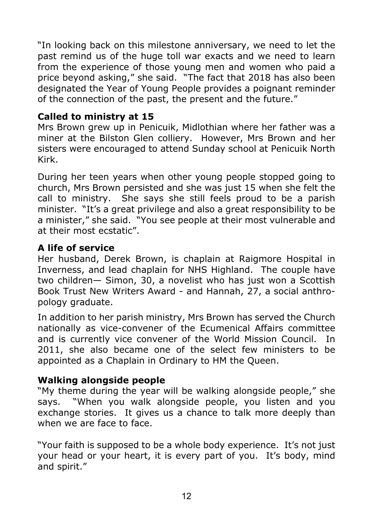"In looking back on this milestone anniversary, we need to let the past remind us of the huge toll war exacts and we need to learn from the experience of those young men and women who paid a price beyond asking," she said. "The fact that 2018 has also been designated the Year of Young People provides a poignant reminder of the connection of the past, the present and the future."

#### **Called to ministry at 15**

Mrs Brown grew up in Penicuik, Midlothian where her father was a miner at the Bilston Glen colliery. However, Mrs Brown and her sisters were encouraged to attend Sunday school at Penicuik North Kirk.

During her teen years when other young people stopped going to church, Mrs Brown persisted and she was just 15 when she felt the call to ministry. She says she still feels proud to be a parish minister. "It's a great privilege and also a great responsibility to be a minister," she said. "You see people at their most vulnerable and at their most ecstatic".

## **A life of service**

Her husband, Derek Brown, is chaplain at Raigmore Hospital in Inverness, and lead chaplain for NHS Highland. The couple have two children— Simon, 30, a novelist who has just won a Scottish Book Trust New Writers Award - and Hannah, 27, a social anthropology graduate.

In addition to her parish ministry, Mrs Brown has served the Church nationally as vice-convener of the Ecumenical Affairs committee and is currently vice convener of the World Mission Council. In 2011, she also became one of the select few ministers to be appointed as a Chaplain in Ordinary to HM the Queen.

## **Walking alongside people**

"My theme during the year will be walking alongside people," she says. "When you walk alongside people, you listen and you exchange stories. It gives us a chance to talk more deeply than when we are face to face.

"Your faith is supposed to be a whole body experience. It's not just your head or your heart, it is every part of you. It's body, mind and spirit."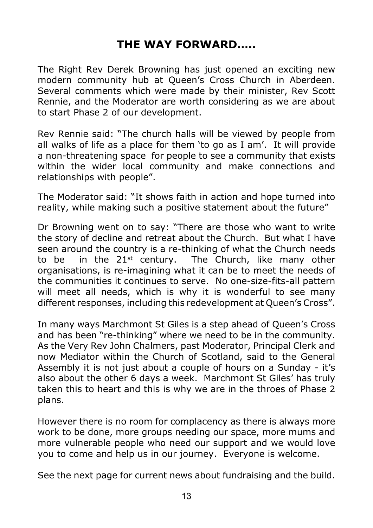## **THE WAY FORWARD…..**

The Right Rev Derek Browning has just opened an exciting new modern community hub at Queen's Cross Church in Aberdeen. Several comments which were made by their minister, Rev Scott Rennie, and the Moderator are worth considering as we are about to start Phase 2 of our development.

Rev Rennie said: "The church halls will be viewed by people from all walks of life as a place for them 'to go as I am'. It will provide a non-threatening space for people to see a community that exists within the wider local community and make connections and relationships with people".

The Moderator said: "It shows faith in action and hope turned into reality, while making such a positive statement about the future"

Dr Browning went on to say: "There are those who want to write the story of decline and retreat about the Church. But what I have seen around the country is a re-thinking of what the Church needs to be in the  $21^{st}$  century. The Church, like many other organisations, is re-imagining what it can be to meet the needs of the communities it continues to serve. No one-size-fits-all pattern will meet all needs, which is why it is wonderful to see many different responses, including this redevelopment at Queen's Cross".

In many ways Marchmont St Giles is a step ahead of Queen's Cross and has been "re-thinking" where we need to be in the community. As the Very Rev John Chalmers, past Moderator, Principal Clerk and now Mediator within the Church of Scotland, said to the General Assembly it is not just about a couple of hours on a Sunday - it's also about the other 6 days a week. Marchmont St Giles' has truly taken this to heart and this is why we are in the throes of Phase 2 plans.

However there is no room for complacency as there is always more work to be done, more groups needing our space, more mums and more vulnerable people who need our support and we would love you to come and help us in our journey. Everyone is welcome.

See the next page for current news about fundraising and the build.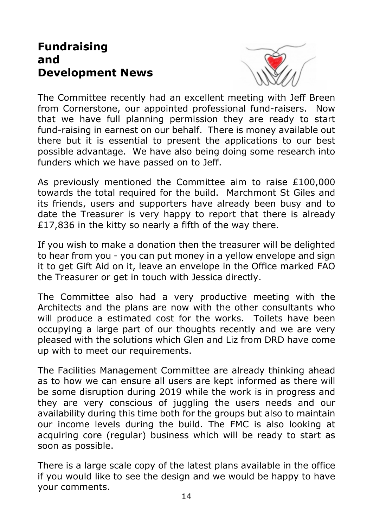## **Fundraising and Development News**



The Committee recently had an excellent meeting with Jeff Breen from Cornerstone, our appointed professional fund-raisers. Now that we have full planning permission they are ready to start fund-raising in earnest on our behalf. There is money available out there but it is essential to present the applications to our best possible advantage. We have also being doing some research into funders which we have passed on to Jeff.

As previously mentioned the Committee aim to raise £100,000 towards the total required for the build. Marchmont St Giles and its friends, users and supporters have already been busy and to date the Treasurer is very happy to report that there is already £17,836 in the kitty so nearly a fifth of the way there.

If you wish to make a donation then the treasurer will be delighted to hear from you - you can put money in a yellow envelope and sign it to get Gift Aid on it, leave an envelope in the Office marked FAO the Treasurer or get in touch with Jessica directly.

The Committee also had a very productive meeting with the Architects and the plans are now with the other consultants who will produce a estimated cost for the works. Toilets have been occupying a large part of our thoughts recently and we are very pleased with the solutions which Glen and Liz from DRD have come up with to meet our requirements.

The Facilities Management Committee are already thinking ahead as to how we can ensure all users are kept informed as there will be some disruption during 2019 while the work is in progress and they are very conscious of juggling the users needs and our availability during this time both for the groups but also to maintain our income levels during the build. The FMC is also looking at acquiring core (regular) business which will be ready to start as soon as possible.

There is a large scale copy of the latest plans available in the office if you would like to see the design and we would be happy to have your comments.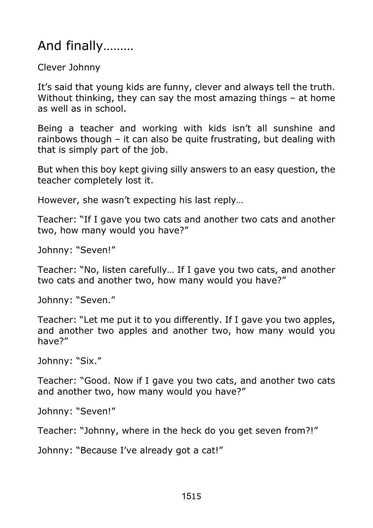## And finally………

Clever Johnny

It's said that young kids are funny, clever and always tell the truth. Without thinking, they can say the most amazing things – at home as well as in school.

Being a teacher and working with kids isn't all sunshine and rainbows though – it can also be quite frustrating, but dealing with that is simply part of the job.

But when this boy kept giving silly answers to an easy question, the teacher completely lost it.

However, she wasn't expecting his last reply…

Teacher: "If I gave you two cats and another two cats and another two, how many would you have?"

Johnny: "Seven!"

Teacher: "No, listen carefully… If I gave you two cats, and another two cats and another two, how many would you have?"

Johnny: "Seven."

Teacher: "Let me put it to you differently. If I gave you two apples, and another two apples and another two, how many would you have?"

Johnny: "Six."

Teacher: "Good. Now if I gave you two cats, and another two cats and another two, how many would you have?"

Johnny: "Seven!"

Teacher: "Johnny, where in the heck do you get seven from?!"

Johnny: "Because I've already got a cat!"